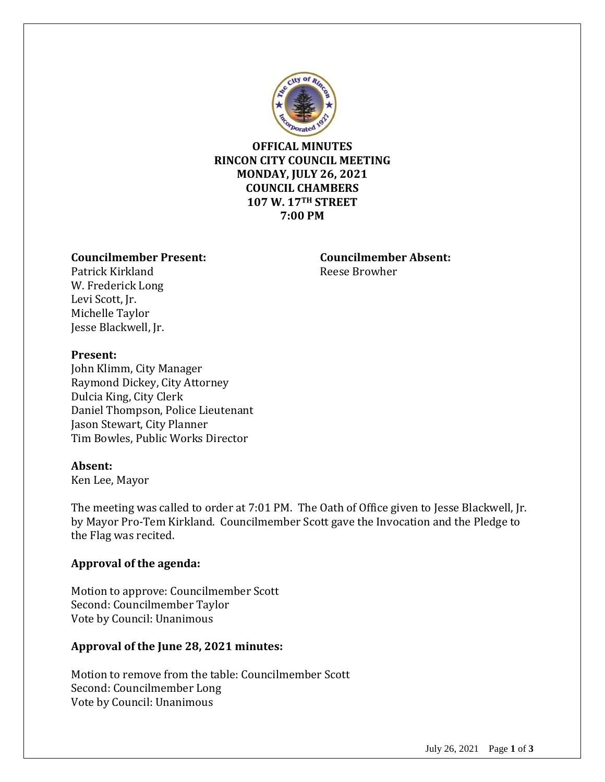

**OFFICAL MINUTES RINCON CITY COUNCIL MEETING MONDAY, JULY 26, 2021 COUNCIL CHAMBERS 107 W. 17TH STREET 7:00 PM**

## **Councilmember Present: Councilmember Absent:**

Patrick Kirkland **Reese Browher** Reese Browher W. Frederick Long Levi Scott, Jr. Michelle Taylor Jesse Blackwell, Jr.

### **Present:**

John Klimm, City Manager Raymond Dickey, City Attorney Dulcia King, City Clerk Daniel Thompson, Police Lieutenant Jason Stewart, City Planner Tim Bowles, Public Works Director

### **Absent:**

Ken Lee, Mayor

The meeting was called to order at 7:01 PM. The Oath of Office given to Jesse Blackwell, Jr. by Mayor Pro-Tem Kirkland. Councilmember Scott gave the Invocation and the Pledge to the Flag was recited.

# **Approval of the agenda:**

Motion to approve: Councilmember Scott Second: Councilmember Taylor Vote by Council: Unanimous

# **Approval of the June 28, 2021 minutes:**

Motion to remove from the table: Councilmember Scott Second: Councilmember Long Vote by Council: Unanimous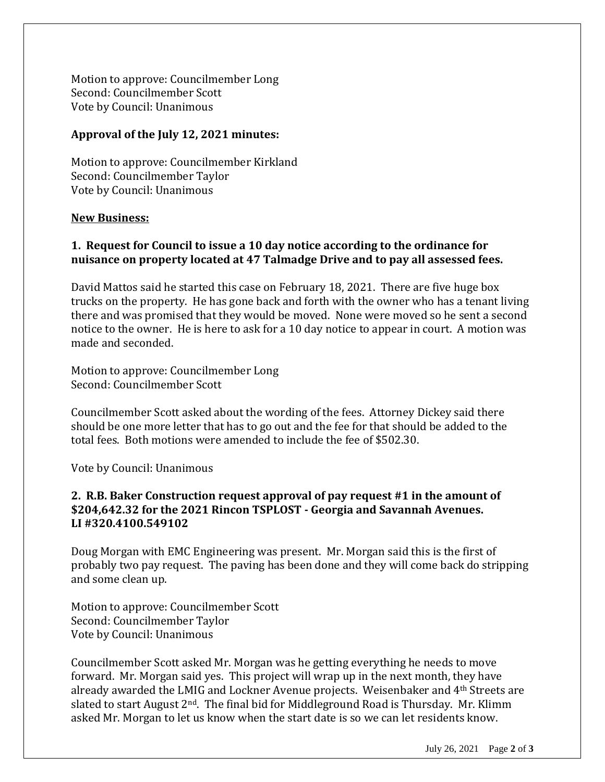Motion to approve: Councilmember Long Second: Councilmember Scott Vote by Council: Unanimous

### **Approval of the July 12, 2021 minutes:**

Motion to approve: Councilmember Kirkland Second: Councilmember Taylor Vote by Council: Unanimous

### **New Business:**

# **1. Request for Council to issue a 10 day notice according to the ordinance for nuisance on property located at 47 Talmadge Drive and to pay all assessed fees.**

David Mattos said he started this case on February 18, 2021. There are five huge box trucks on the property. He has gone back and forth with the owner who has a tenant living there and was promised that they would be moved. None were moved so he sent a second notice to the owner. He is here to ask for a 10 day notice to appear in court. A motion was made and seconded.

Motion to approve: Councilmember Long Second: Councilmember Scott

Councilmember Scott asked about the wording of the fees. Attorney Dickey said there should be one more letter that has to go out and the fee for that should be added to the total fees. Both motions were amended to include the fee of \$502.30.

Vote by Council: Unanimous

## **2. R.B. Baker Construction request approval of pay request #1 in the amount of \$204,642.32 for the 2021 Rincon TSPLOST - Georgia and Savannah Avenues. LI #320.4100.549102**

Doug Morgan with EMC Engineering was present. Mr. Morgan said this is the first of probably two pay request. The paving has been done and they will come back do stripping and some clean up.

Motion to approve: Councilmember Scott Second: Councilmember Taylor Vote by Council: Unanimous

Councilmember Scott asked Mr. Morgan was he getting everything he needs to move forward. Mr. Morgan said yes. This project will wrap up in the next month, they have already awarded the LMIG and Lockner Avenue projects. Weisenbaker and 4th Streets are slated to start August  $2<sup>nd</sup>$ . The final bid for Middleground Road is Thursday. Mr. Klimm asked Mr. Morgan to let us know when the start date is so we can let residents know.